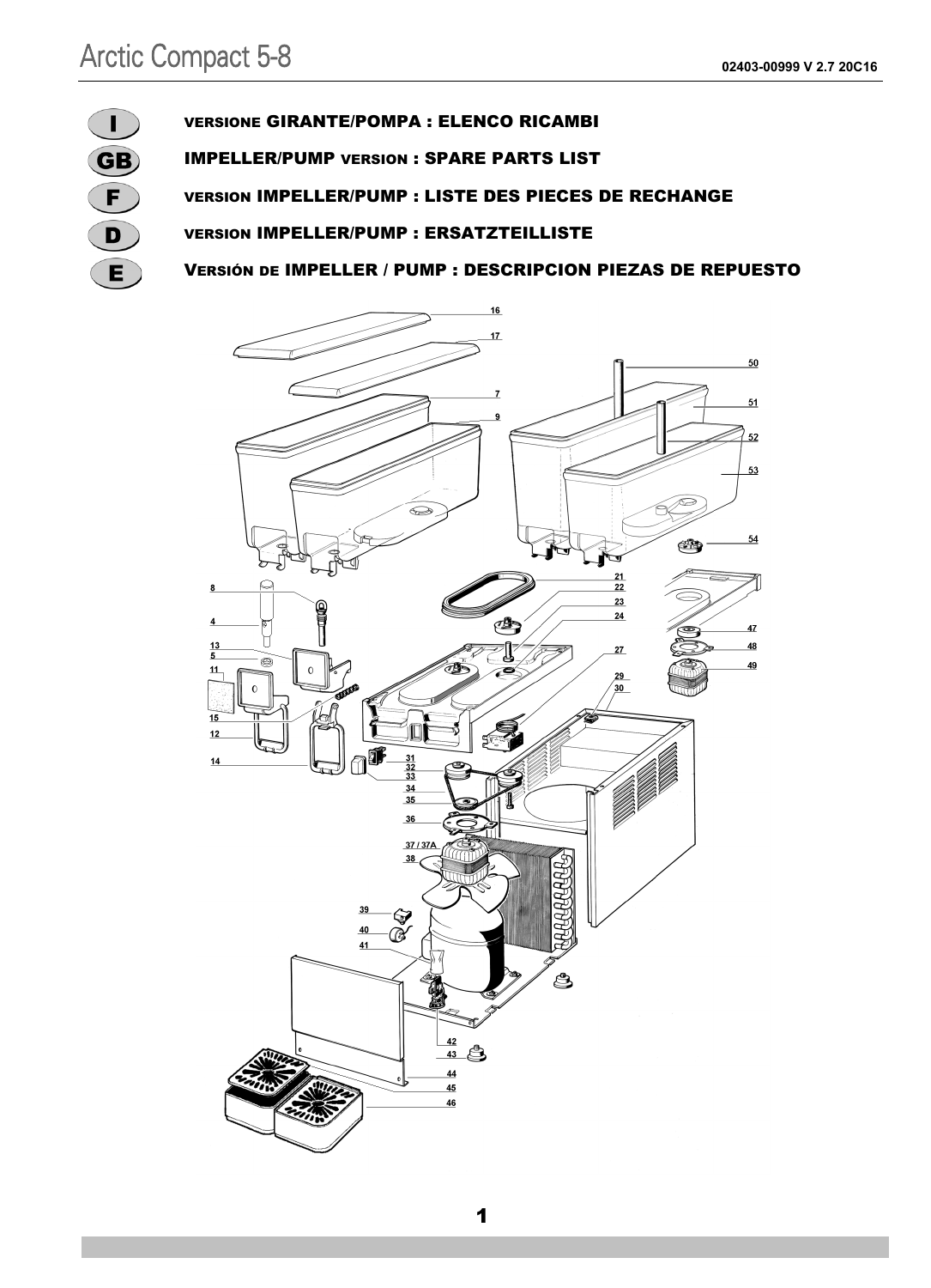

#### VERSIONE GIRANTE/POMPA : ELENCO RICAMBI

IMPELLER/PUMP VERSION : SPARE PARTS LIST

VERSION IMPELLER/PUMP : LISTE DES PIECES DE RECHANGE

VERSION IMPELLER/PUMP : ERSATZTEILLISTE

VERSIÓN DE IMPELLER / PUMP : DESCRIPCION PIEZAS DE REPUESTO

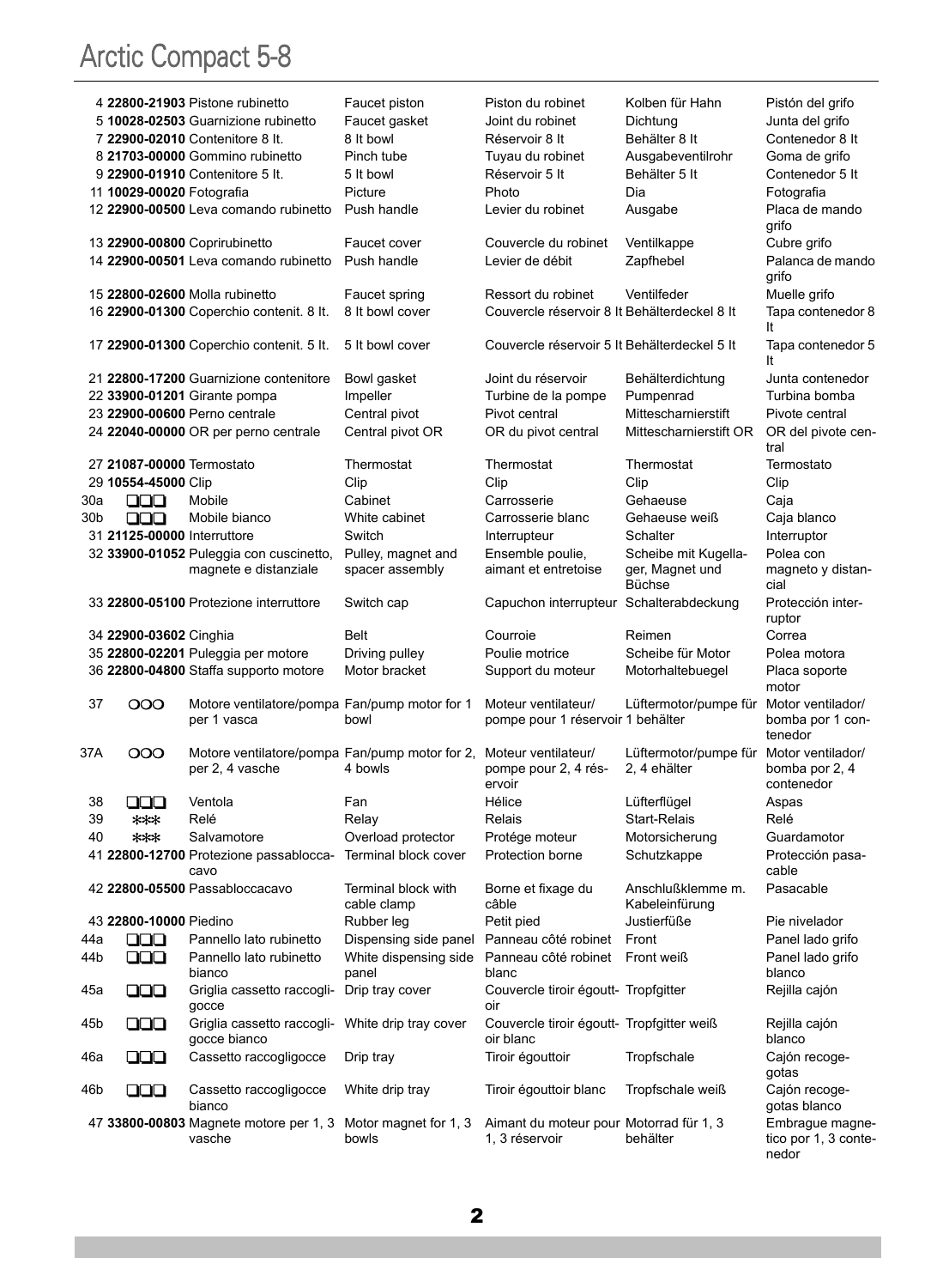|     |                             | 4 22800-21903 Pistone rubinetto                                    | Faucet piston                      | Piston du robinet                                      | Kolben für Hahn                     | Pistón del grifo              |
|-----|-----------------------------|--------------------------------------------------------------------|------------------------------------|--------------------------------------------------------|-------------------------------------|-------------------------------|
|     |                             | 5 10028-02503 Guarnizione rubinetto                                | Faucet gasket                      | Joint du robinet                                       | Dichtung                            | Junta del grifo               |
|     |                             | 7 22900-02010 Contenitore 8 It.                                    | 8 It bowl                          | Réservoir 8 It                                         | Behälter 8 It                       | Contenedor 8 It               |
|     |                             | 8 21703-00000 Gommino rubinetto                                    | Pinch tube                         | Tuyau du robinet                                       | Ausgabeventilrohr                   | Goma de grifo                 |
|     |                             | 9 22900-01910 Contenitore 5 It.                                    | 5 It bowl                          | Réservoir 5 It                                         | Behälter 5 It                       | Contenedor 5 It               |
|     | 11 10029-00020 Fotografia   |                                                                    | Picture                            | Photo                                                  | Dia                                 | Fotografia                    |
|     |                             | 12 22900-00500 Leva comando rubinetto                              | Push handle                        | Levier du robinet                                      | Ausgabe                             | Placa de mando<br>grifo       |
|     |                             | 13 22900-00800 Coprirubinetto                                      | Faucet cover                       | Couvercle du robinet                                   | Ventilkappe                         | Cubre grifo                   |
|     |                             | 14 22900-00501 Leva comando rubinetto                              | Push handle                        | Levier de débit                                        | Zapfhebel                           | Palanca de mando              |
|     |                             |                                                                    |                                    |                                                        |                                     | grifo                         |
|     |                             | 15 22800-02600 Molla rubinetto                                     | Faucet spring                      | Ressort du robinet                                     | Ventilfeder                         | Muelle grifo                  |
|     |                             | 16 22900-01300 Coperchio contenit. 8 lt.                           | 8 It bowl cover                    | Couvercle réservoir 8 It Behälterdeckel 8 It           |                                     | Tapa contenedor 8             |
|     |                             |                                                                    |                                    |                                                        |                                     | It                            |
|     |                             | 17 22900-01300 Coperchio contenit. 5 lt.                           | 5 It bowl cover                    | Couvercle réservoir 5 It Behälterdeckel 5 It           |                                     | Tapa contenedor 5<br>It       |
|     |                             | 21 22800-17200 Guarnizione contenitore                             | Bowl gasket                        | Joint du réservoir                                     | Behälterdichtung                    | Junta contenedor              |
|     |                             | 22 33900-01201 Girante pompa                                       | Impeller                           | Turbine de la pompe                                    | Pumpenrad                           | Turbina bomba                 |
|     |                             | 23 22900-00600 Perno centrale                                      | Central pivot                      | Pivot central                                          | Mittescharnierstift                 | Pivote central                |
|     |                             | 24 22040-00000 OR per perno centrale                               | Central pivot OR                   | OR du pivot central                                    | Mittescharnierstift OR              | OR del pivote cen-<br>tral    |
|     | 27 21087-00000 Termostato   |                                                                    | Thermostat                         | Thermostat                                             | Thermostat                          | Termostato                    |
|     | 29 10554-45000 Clip         |                                                                    | Clip                               | Clip                                                   | Clip                                | Clip                          |
| 30a | 88                          | Mobile                                                             | Cabinet                            | Carrosserie                                            | Gehaeuse                            | Caja                          |
| 30b | ooo                         | Mobile bianco                                                      | White cabinet                      | Carrosserie blanc                                      | Gehaeuse weiß                       | Caja blanco                   |
|     | 31 21125-00000 Interruttore |                                                                    | Switch                             | Interrupteur                                           | Schalter                            | Interruptor                   |
|     |                             | 32 33900-01052 Puleggia con cuscinetto,                            | Pulley, magnet and                 | Ensemble poulie,                                       | Scheibe mit Kugella-                | Polea con                     |
|     |                             | magnete e distanziale                                              | spacer assembly                    | aimant et entretoise                                   | ger, Magnet und<br>Büchse           | magneto y distan-<br>cial     |
|     |                             | 33 22800-05100 Protezione interruttore                             | Switch cap                         | Capuchon interrupteur Schalterabdeckung                |                                     | Protección inter-<br>ruptor   |
|     | 34 22900-03602 Cinghia      |                                                                    | Belt                               | Courroie                                               | Reimen                              | Correa                        |
|     |                             | 35 22800-02201 Puleggia per motore                                 | Driving pulley                     | Poulie motrice                                         | Scheibe für Motor                   | Polea motora                  |
|     |                             | 36 22800-04800 Staffa supporto motore                              | Motor bracket                      | Support du moteur                                      | Motorhaltebuegel                    | Placa soporte<br>motor        |
| 37  | ၀၀၀                         | Motore ventilatore/pompa Fan/pump motor for 1                      |                                    | Moteur ventilateur/                                    | Lüftermotor/pumpe für               | Motor ventilador/             |
|     |                             | per 1 vasca                                                        | bowl                               | pompe pour 1 réservoir 1 behälter                      |                                     | bomba por 1 con-<br>tenedor   |
| 37A | ၀၀၀                         | Motore ventilatore/pompa Fan/pump motor for 2, Moteur ventilateur/ |                                    |                                                        | Lüftermotor/pumpe für               | Motor ventilador/             |
|     |                             | per 2, 4 vasche                                                    | 4 bowls                            | pompe pour 2, 4 rés-<br>ervoir                         | 2, 4 ehälter                        | bomba por 2, 4<br>contenedor  |
| 38  | 000                         | Ventola                                                            | Fan                                | Hélice                                                 | Lüfterflügel                        | Aspas                         |
| 39  | ***                         | Relé                                                               | Relay                              | Relais                                                 | Start-Relais                        | Relé                          |
| 40  | $***$                       | Salvamotore                                                        | Overload protector                 | Protége moteur                                         | Motorsicherung                      | Guardamotor                   |
|     |                             | 41 22800-12700 Protezione passablocca-<br>cavo                     | Terminal block cover               | Protection borne                                       | Schutzkappe                         | Protección pasa-<br>cable     |
|     |                             | 42 22800-05500 Passabloccacavo                                     | Terminal block with<br>cable clamp | Borne et fixage du<br>câble                            | Anschlußklemme m.<br>Kabeleinfürung | Pasacable                     |
|     | 43 22800-10000 Piedino      |                                                                    | Rubber leg                         | Petit pied                                             | Justierfüße                         | Pie nivelador                 |
| 44a | 88                          | Pannello lato rubinetto                                            | Dispensing side panel              | Panneau côté robinet                                   | Front                               | Panel lado grifo              |
| 44b | 000                         | Pannello lato rubinetto                                            | White dispensing side              | Panneau côté robinet                                   | Front weiß                          | Panel lado grifo              |
|     |                             | bianco                                                             | panel                              | blanc                                                  |                                     | blanco                        |
| 45a | 000                         | Griglia cassetto raccogli-<br>gocce                                | Drip tray cover                    | Couvercle tiroir égoutt- Tropfgitter<br>oir            |                                     | Rejilla cajón                 |
| 45b | 000                         | Griglia cassetto raccogli-<br>gocce bianco                         | White drip tray cover              | Couvercle tiroir égoutt- Tropfgitter weiß<br>oir blanc |                                     | Rejilla cajón<br>blanco       |
| 46a | 000                         | Cassetto raccogligocce                                             | Drip tray                          | Tiroir égouttoir                                       | Tropfschale                         | Cajón recoge-<br>gotas        |
| 46b | 000                         | Cassetto raccogligocce<br>bianco                                   | White drip tray                    | Tiroir égouttoir blanc                                 | Tropfschale weiß                    | Cajón recoge-<br>gotas blanco |
|     |                             | 47 33800-00803 Magnete motore per 1, 3                             | Motor magnet for 1, 3              | Aimant du moteur pour Motorrad für 1, 3                |                                     | Embrague magne-               |
|     |                             | vasche                                                             | bowls                              | 1, 3 réservoir                                         | behälter                            | tico por 1, 3 conte-<br>nedor |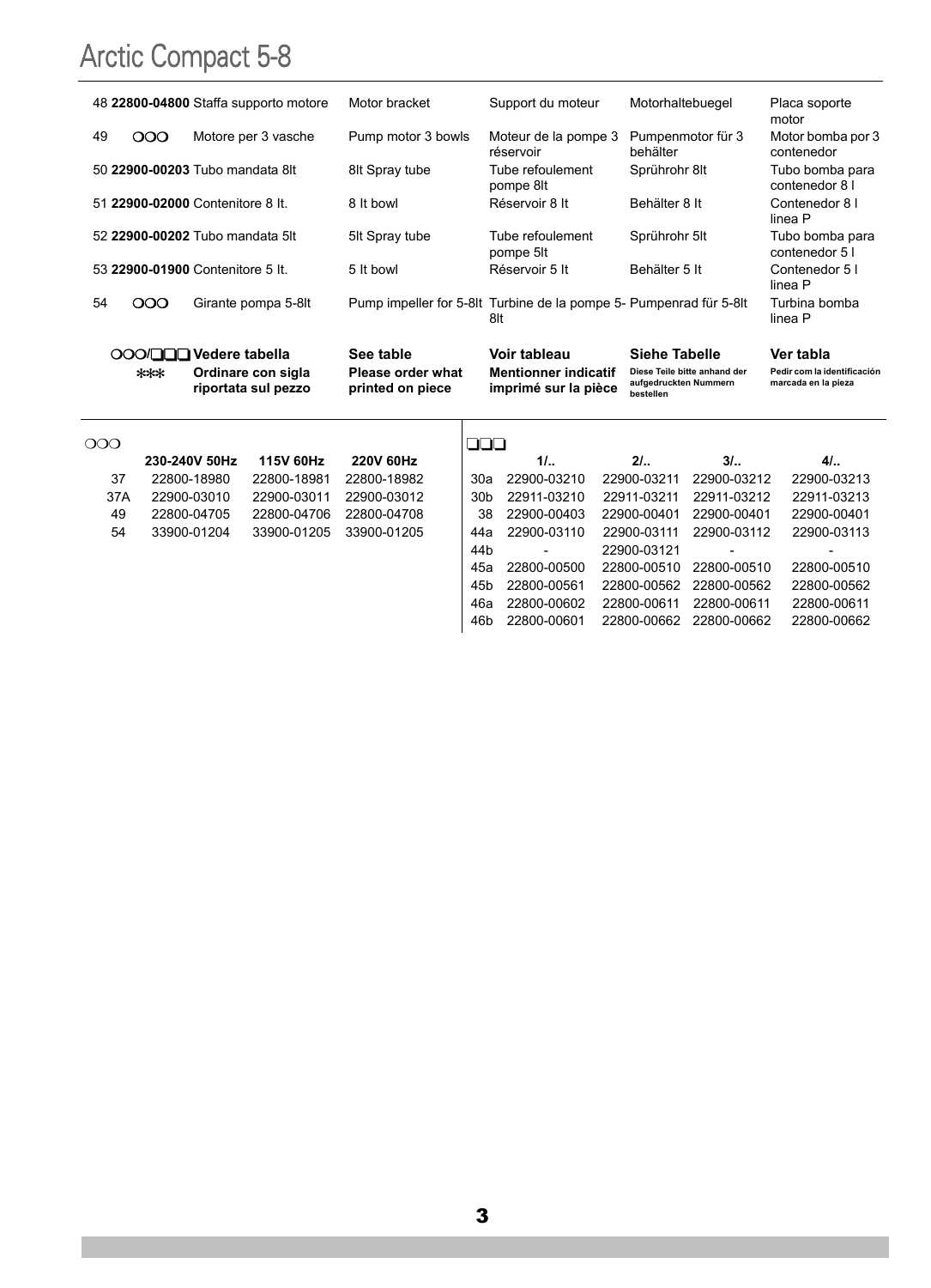|    |          | 48 22800-04800 Staffa supporto motore     | Motor bracket                         | Support du moteur                                                         | Motorhaltebuegel                                                   | Placa soporte<br>motor                             |
|----|----------|-------------------------------------------|---------------------------------------|---------------------------------------------------------------------------|--------------------------------------------------------------------|----------------------------------------------------|
| 49 | 000      | Motore per 3 vasche                       | Pump motor 3 bowls                    | Moteur de la pompe 3<br>réservoir                                         | Pumpenmotor für 3<br>behälter                                      | Motor bomba por 3<br>contenedor                    |
|    |          | 50 22900-00203 Tubo mandata 8lt           | 8lt Spray tube                        | Tube refoulement<br>pompe 8lt                                             | Sprührohr 8lt                                                      | Tubo bomba para<br>contenedor 8 I                  |
|    |          | 51 22900-02000 Contenitore 8 It.          | 8 It bowl                             | Réservoir 8 It                                                            | Behälter 8 It                                                      | Contenedor 8 I<br>linea P                          |
|    |          | 52 22900-00202 Tubo mandata 5lt           | 5It Spray tube                        | Tube refoulement<br>pompe 5lt                                             | Sprührohr 5lt                                                      | Tubo bomba para<br>contenedor 5 I                  |
|    |          | 53 22900-01900 Contenitore 5 It.          | 5 It bowl                             | Réservoir 5 It                                                            | Behälter 5 It                                                      | Contenedor 5 I<br>linea P                          |
| 54 | $\infty$ | Girante pompa 5-8lt                       |                                       | Pump impeller for 5-8lt Turbine de la pompe 5- Pumpenrad für 5-8lt<br>8lt |                                                                    | Turbina bomba<br>linea P                           |
|    |          | OOO/QQQ Vedere tabella                    | See table                             | Voir tableau                                                              | Siehe Tabelle                                                      | Ver tabla                                          |
|    | ***      | Ordinare con sigla<br>riportata sul pezzo | Please order what<br>printed on piece | <b>Mentionner indicatif</b><br>imprimé sur la pièce                       | Diese Teile bitte anhand der<br>aufgedruckten Nummern<br>bestellen | Pedir com la identificación<br>marcada en la pieza |
|    |          |                                           |                                       |                                                                           |                                                                    |                                                    |

| റററ |               |                  |                  | 000             |             |                         |             |             |
|-----|---------------|------------------|------------------|-----------------|-------------|-------------------------|-------------|-------------|
|     | 230-240V 50Hz | <b>115V 60Hz</b> | <b>220V 60Hz</b> |                 | 1/L.        | 21.                     | 31.         | 41.         |
| 37  | 22800-18980   | 22800-18981      | 22800-18982      | 30a             | 22900-03210 | 22900-03211             | 22900-03212 | 22900-03213 |
| 37A | 22900-03010   | 22900-03011      | 22900-03012      | 30 <sub>b</sub> | 22911-03210 | 22911-03211             | 22911-03212 | 22911-03213 |
| 49  | 22800-04705   | 22800-04706      | 22800-04708      | 38              | 22900-00403 | 22900-00401             | 22900-00401 | 22900-00401 |
| 54  | 33900-01204   | 33900-01205      | 33900-01205      | 44а             | 22900-03110 | 22900-03111             | 22900-03112 | 22900-03113 |
|     |               |                  |                  | 44 <sub>b</sub> | ۰           | 22900-03121             |             |             |
|     |               |                  |                  | 45а             | 22800-00500 | 22800-00510 22800-00510 |             | 22800-00510 |
|     |               |                  |                  | 45 <sub>b</sub> | 22800-00561 | 22800-00562 22800-00562 |             | 22800-00562 |
|     |               |                  |                  | 46а             | 22800-00602 | 22800-00611             | 22800-00611 | 22800-00611 |
|     |               |                  |                  | 46b             | 22800-00601 | 22800-00662             | 22800-00662 | 22800-00662 |
|     |               |                  |                  |                 |             |                         |             |             |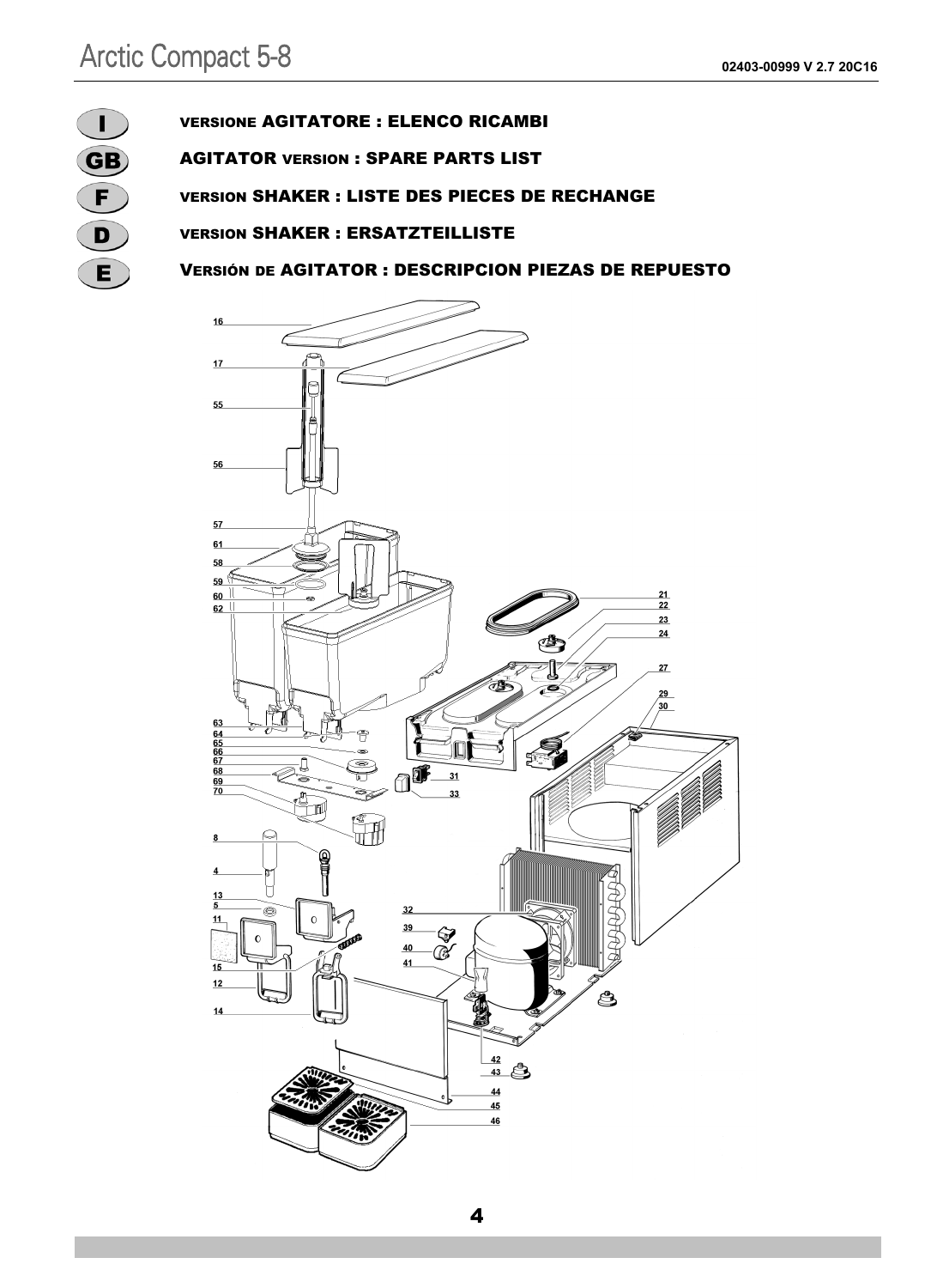

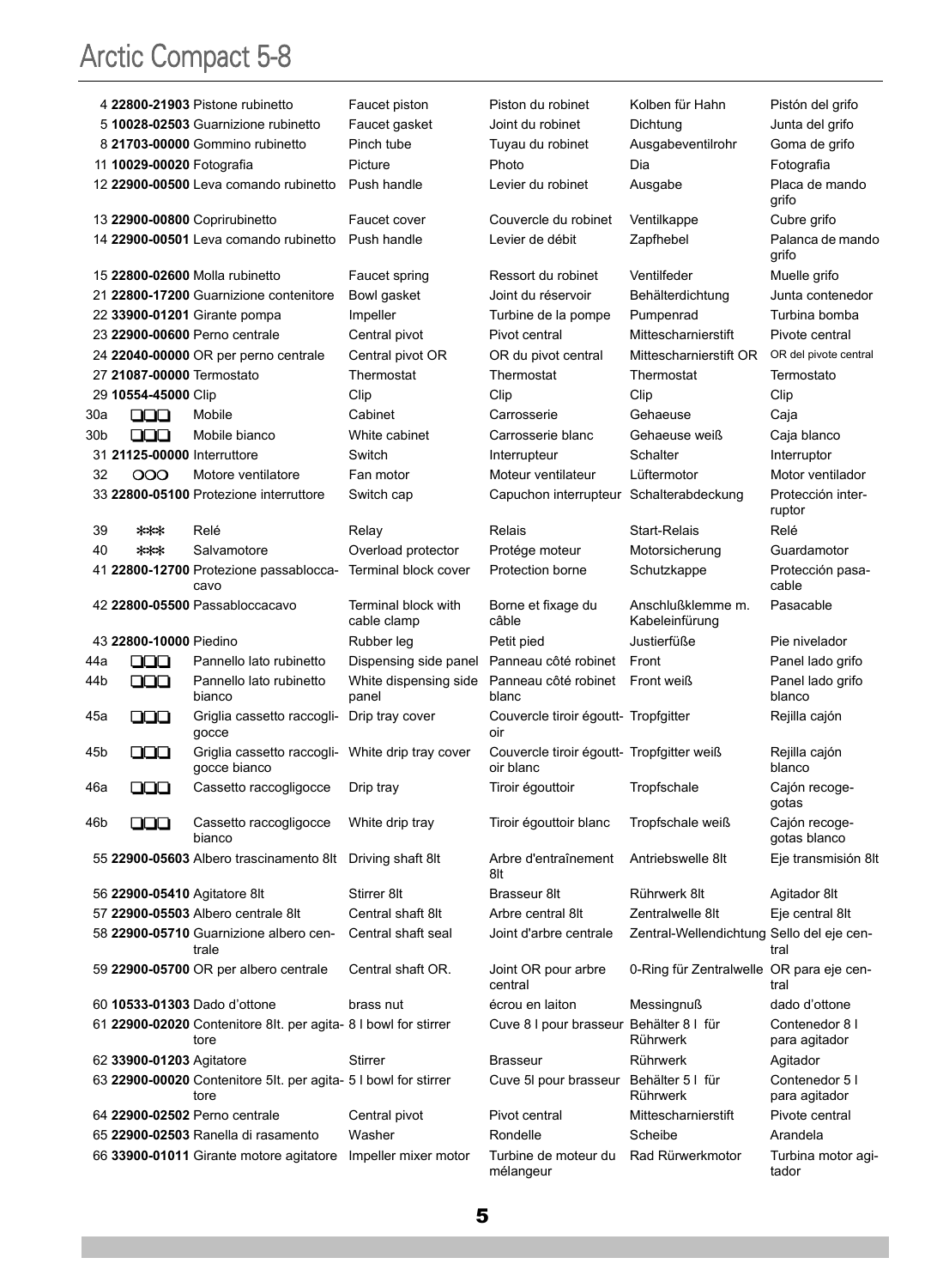|     |                              | 4 22800-21903 Pistone rubinetto                                         | Faucet piston                      | Piston du robinet                                      | Kolben für Hahn                           | Pistón del grifo                |
|-----|------------------------------|-------------------------------------------------------------------------|------------------------------------|--------------------------------------------------------|-------------------------------------------|---------------------------------|
|     |                              | 5 10028-02503 Guarnizione rubinetto                                     | Faucet gasket                      | Joint du robinet                                       | Dichtung                                  | Junta del grifo                 |
|     |                              | 8 21703-00000 Gommino rubinetto                                         | Pinch tube                         | Tuyau du robinet                                       | Ausgabeventilrohr                         | Goma de grifo                   |
|     | 11 10029-00020 Fotografia    |                                                                         | Picture                            | Photo                                                  | Dia                                       | Fotografia                      |
|     |                              | 12 22900-00500 Leva comando rubinetto                                   | Push handle                        | Levier du robinet                                      | Ausgabe                                   | Placa de mando<br>grifo         |
|     |                              | 13 22900-00800 Coprirubinetto                                           | Faucet cover                       | Couvercle du robinet                                   | Ventilkappe                               | Cubre grifo                     |
|     |                              | 14 22900-00501 Leva comando rubinetto                                   | Push handle                        | Levier de débit                                        | Zapfhebel                                 | Palanca de mando<br>grifo       |
|     |                              | 15 22800-02600 Molla rubinetto                                          | Faucet spring                      | Ressort du robinet                                     | Ventilfeder                               | Muelle grifo                    |
|     |                              | 21 22800-17200 Guarnizione contenitore                                  | Bowl gasket                        | Joint du réservoir                                     | Behälterdichtung                          | Junta contenedor                |
|     |                              | 22 33900-01201 Girante pompa                                            | Impeller                           | Turbine de la pompe                                    | Pumpenrad                                 | Turbina bomba                   |
|     |                              | 23 22900-00600 Perno centrale                                           | Central pivot                      | Pivot central                                          | Mittescharnierstift                       | Pivote central                  |
|     |                              | 24 22040-00000 OR per perno centrale                                    | Central pivot OR                   | OR du pivot central                                    | Mittescharnierstift OR                    | OR del pivote central           |
|     | 27 21087-00000 Termostato    |                                                                         | Thermostat                         | Thermostat                                             | Thermostat                                | Termostato                      |
|     | 29 10554-45000 Clip          |                                                                         | Clip                               | Clip                                                   | Clip                                      | Clip                            |
| 30a | 88                           | Mobile                                                                  | Cabinet                            | Carrosserie                                            | Gehaeuse                                  | Caja                            |
| 30b | 000                          | Mobile bianco                                                           | White cabinet                      | Carrosserie blanc                                      | Gehaeuse weiß                             | Caja blanco                     |
|     | 31 21125-00000 Interruttore  |                                                                         | Switch                             | Interrupteur                                           | Schalter                                  | Interruptor                     |
| 32  | 000                          | Motore ventilatore                                                      | Fan motor                          | Moteur ventilateur                                     | Lüftermotor                               | Motor ventilador                |
|     |                              | 33 22800-05100 Protezione interruttore                                  | Switch cap                         | Capuchon interrupteur Schalterabdeckung                |                                           | Protección inter-<br>ruptor     |
| 39  | ***                          | Relé                                                                    | Relay                              | Relais                                                 | Start-Relais                              | Relé                            |
| 40  | ***                          | Salvamotore                                                             | Overload protector                 | Protége moteur                                         | Motorsicherung                            | Guardamotor                     |
|     |                              | 41 22800-12700 Protezione passablocca-<br>cavo                          | Terminal block cover               | Protection borne                                       | Schutzkappe                               | Protección pasa-<br>cable       |
|     |                              | 42 22800-05500 Passabloccacavo                                          | Terminal block with<br>cable clamp | Borne et fixage du<br>câble                            | Anschlußklemme m.<br>Kabeleinfürung       | Pasacable                       |
|     |                              |                                                                         |                                    |                                                        |                                           |                                 |
|     | 43 22800-10000 Piedino       |                                                                         | Rubber leg                         | Petit pied                                             | Justierfüße                               | Pie nivelador                   |
| 44a | 88                           | Pannello lato rubinetto                                                 | Dispensing side panel              | Panneau côté robinet                                   | Front                                     | Panel lado grifo                |
| 44b | 000                          | Pannello lato rubinetto<br>bianco                                       | White dispensing side<br>panel     | Panneau côté robinet<br>blanc                          | Front weiß                                | Panel lado grifo<br>blanco      |
| 45a | 88                           | Griglia cassetto raccogli-<br>gocce                                     | Drip tray cover                    | Couvercle tiroir égoutt- Tropfgitter<br>oir            |                                           | Rejilla cajón                   |
| 45b | 000                          | Griglia cassetto raccogli-<br>gocce bianco                              | White drip tray cover              | Couvercle tiroir égoutt- Tropfgitter weiß<br>oir blanc |                                           | Rejilla cajón<br>blanco         |
| 46a | 000                          | Cassetto raccogligocce                                                  | Drip tray                          | Tiroir égouttoir                                       | Tropfschale                               | Cajón recoge-<br>gotas          |
| 46b | 88                           | Cassetto raccogligocce<br>bianco                                        | White drip tray                    | Tiroir égouttoir blanc                                 | Tropfschale weiß                          | Cajón recoge-<br>gotas blanco   |
|     |                              | 55 22900-05603 Albero trascinamento 8lt                                 | Driving shaft 8lt                  | Arbre d'entraînement<br>8lt                            | Antriebswelle 8lt                         | Eje transmisión 8lt             |
|     | 56 22900-05410 Agitatore 8lt |                                                                         | Stirrer 8lt                        | Brasseur 8lt                                           | Rührwerk 8lt                              | Agitador 8lt                    |
|     |                              | 57 22900-05503 Albero centrale 8lt                                      | Central shaft 8lt                  | Arbre central 8lt                                      | Zentralwelle 8lt                          | Eje central 8lt                 |
|     |                              | 58 22900-05710 Guarnizione albero cen-<br>trale                         | Central shaft seal                 | Joint d'arbre centrale                                 | Zentral-Wellendichtung Sello del eje cen- | tral                            |
|     |                              | 59 22900-05700 OR per albero centrale                                   | Central shaft OR.                  | Joint OR pour arbre<br>central                         | 0-Ring für Zentralwelle OR para eje cen-  | tral                            |
|     |                              | 60 10533-01303 Dado d'ottone                                            | brass nut                          | écrou en laiton                                        | Messingnuß                                | dado d'ottone                   |
|     |                              | 61 22900-02020 Contenitore 8lt. per agita- 8 I bowl for stirrer<br>tore |                                    | Cuve 8 I pour brasseur Behälter 8 I für                | Rührwerk                                  | Contenedor 8 I<br>para agitador |
|     | 62 33900-01203 Agitatore     |                                                                         | Stirrer                            | <b>Brasseur</b>                                        | Rührwerk                                  | Agitador                        |
|     |                              | 63 22900-00020 Contenitore 5lt. per agita- 5 I bowl for stirrer<br>tore |                                    | Cuve 5I pour brasseur Behälter 5 I für                 | Rührwerk                                  | Contenedor 5 I<br>para agitador |
|     |                              | 64 22900-02502 Perno centrale                                           | Central pivot                      | Pivot central                                          | Mittescharnierstift                       | Pivote central                  |
|     |                              | 65 22900-02503 Ranella di rasamento                                     | Washer                             | Rondelle                                               | Scheibe                                   | Arandela                        |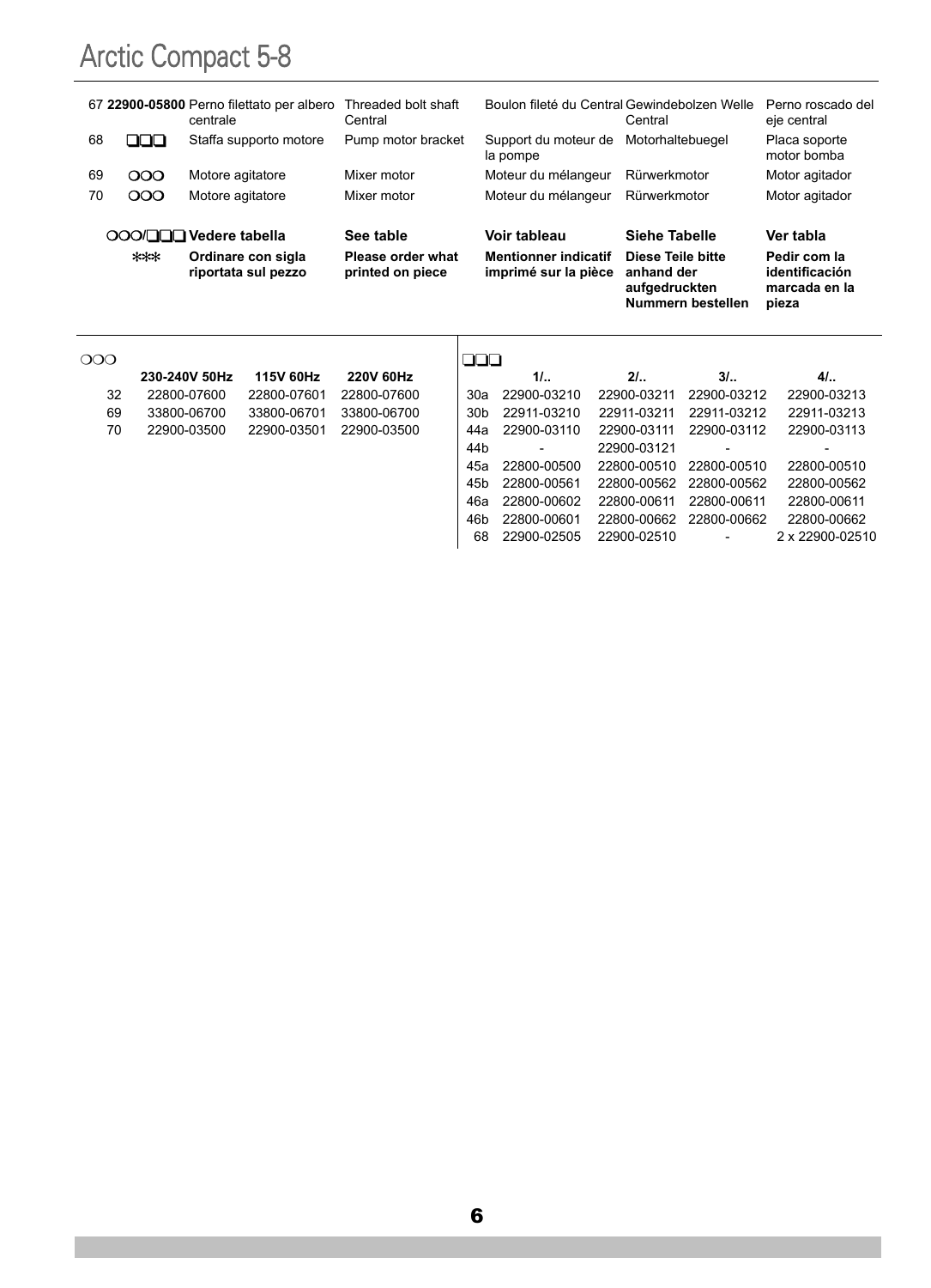|                        |       | centrale         | 67 22900-05800 Perno filettato per albero | Threaded bolt shaft<br>Central        |                 | Boulon fileté du Central Gewindebolzen Welle        | Central                                          |                   | Perno roscado del<br>eje central                         |
|------------------------|-------|------------------|-------------------------------------------|---------------------------------------|-----------------|-----------------------------------------------------|--------------------------------------------------|-------------------|----------------------------------------------------------|
| 68                     | ooo   |                  | Staffa supporto motore                    | Pump motor bracket                    |                 | Support du moteur de<br>la pompe                    | Motorhaltebuegel                                 |                   | Placa soporte<br>motor bomba                             |
| 69                     | 000   | Motore agitatore |                                           | Mixer motor                           |                 | Moteur du mélangeur                                 | Rürwerkmotor                                     |                   | Motor agitador                                           |
| 70                     | 000   | Motore agitatore |                                           | Mixer motor                           |                 | Moteur du mélangeur                                 | Rürwerkmotor                                     |                   | Motor agitador                                           |
| OOOOOOO Vedere tabella |       |                  | See table                                 |                                       | Voir tableau    | Siehe Tabelle                                       |                                                  | Ver tabla         |                                                          |
|                        | $***$ |                  | Ordinare con sigla<br>riportata sul pezzo | Please order what<br>printed on piece |                 | <b>Mentionner indicatif</b><br>imprimé sur la pièce | Diese Teile bitte<br>anhand der<br>aufgedruckten | Nummern bestellen | Pedir com la<br>identificación<br>marcada en la<br>pieza |
| $\rm{OOO}$             |       |                  |                                           |                                       | 88              |                                                     |                                                  |                   |                                                          |
|                        |       |                  |                                           |                                       |                 |                                                     |                                                  |                   |                                                          |
|                        |       | 230-240V 50Hz    | <b>115V 60Hz</b>                          | <b>220V 60Hz</b>                      |                 | 11                                                  | 21.                                              | 31.               | 41.                                                      |
| 32                     |       | 22800-07600      | 22800-07601                               | 22800-07600                           | 30a             | 22900-03210                                         | 22900-03211                                      | 22900-03212       | 22900-03213                                              |
| 69                     |       | 33800-06700      | 33800-06701                               | 33800-06700                           | 30b             | 22911-03210                                         | 22911-03211                                      | 22911-03212       | 22911-03213                                              |
| 70                     |       | 22900-03500      | 22900-03501                               | 22900-03500                           | 44a             | 22900-03110                                         | 22900-03111                                      | 22900-03112       | 22900-03113                                              |
|                        |       |                  |                                           |                                       | 44 <sub>b</sub> |                                                     | 22900-03121                                      |                   |                                                          |
|                        |       |                  |                                           |                                       | 45a             | 22800-00500                                         | 22800-00510                                      | 22800-00510       | 22800-00510                                              |
|                        |       |                  |                                           |                                       | 45 <sub>b</sub> | 22800-00561                                         | 22800-00562                                      | 22800-00562       | 22800-00562                                              |

46b 22800-00601 22800-00662 22800-00662 22800-00662 68 22900-02505 22900-02510 - 2 x 22900-02510